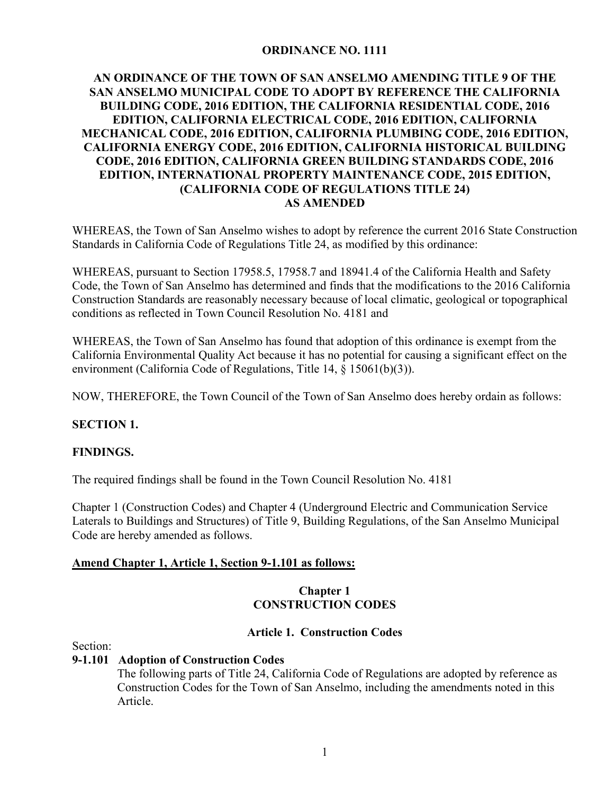#### **ORDINANCE NO. 1111**

## **AN ORDINANCE OF THE TOWN OF SAN ANSELMO AMENDING TITLE 9 OF THE SAN ANSELMO MUNICIPAL CODE TO ADOPT BY REFERENCE THE CALIFORNIA BUILDING CODE, 2016 EDITION, THE CALIFORNIA RESIDENTIAL CODE, 2016 EDITION, CALIFORNIA ELECTRICAL CODE, 2016 EDITION, CALIFORNIA MECHANICAL CODE, 2016 EDITION, CALIFORNIA PLUMBING CODE, 2016 EDITION, CALIFORNIA ENERGY CODE, 2016 EDITION, CALIFORNIA HISTORICAL BUILDING CODE, 2016 EDITION, CALIFORNIA GREEN BUILDING STANDARDS CODE, 2016 EDITION, INTERNATIONAL PROPERTY MAINTENANCE CODE, 2015 EDITION, (CALIFORNIA CODE OF REGULATIONS TITLE 24) AS AMENDED**

WHEREAS, the Town of San Anselmo wishes to adopt by reference the current 2016 State Construction Standards in California Code of Regulations Title 24, as modified by this ordinance:

WHEREAS, pursuant to Section 17958.5, 17958.7 and 18941.4 of the California Health and Safety Code, the Town of San Anselmo has determined and finds that the modifications to the 2016 California Construction Standards are reasonably necessary because of local climatic, geological or topographical conditions as reflected in Town Council Resolution No. 4181 and

WHEREAS, the Town of San Anselmo has found that adoption of this ordinance is exempt from the California Environmental Quality Act because it has no potential for causing a significant effect on the environment (California Code of Regulations, Title 14, § 15061(b)(3)).

NOW, THEREFORE, the Town Council of the Town of San Anselmo does hereby ordain as follows:

#### **SECTION 1.**

#### **FINDINGS.**

The required findings shall be found in the Town Council Resolution No. 4181

Chapter 1 (Construction Codes) and Chapter 4 (Underground Electric and Communication Service Laterals to Buildings and Structures) of Title 9, Building Regulations, of the San Anselmo Municipal Code are hereby amended as follows.

#### **Amend Chapter 1, Article 1, Section 9-1.101 as follows:**

## **Chapter 1 CONSTRUCTION CODES**

#### **Article 1. Construction Codes**

Section:

## **9-1.101 Adoption of Construction Codes**

The following parts of Title 24, California Code of Regulations are adopted by reference as Construction Codes for the Town of San Anselmo, including the amendments noted in this Article.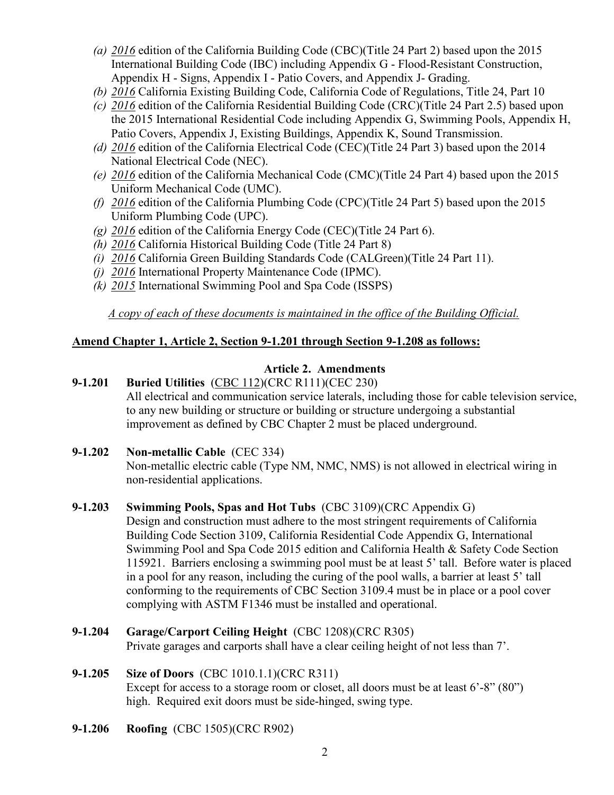- *(a) 2016* edition of the California Building Code (CBC)(Title 24 Part 2) based upon the 2015 International Building Code (IBC) including Appendix G - Flood-Resistant Construction, Appendix H - Signs, Appendix I - Patio Covers, and Appendix J- Grading.
- *(b) 2016* California Existing Building Code, California Code of Regulations, Title 24, Part 10
- *(c) 2016* edition of the California Residential Building Code (CRC)(Title 24 Part 2.5) based upon the 2015 International Residential Code including Appendix G, Swimming Pools, Appendix H, Patio Covers, Appendix J, Existing Buildings, Appendix K, Sound Transmission.
- *(d) 2016* edition of the California Electrical Code (CEC)(Title 24 Part 3) based upon the 2014 National Electrical Code (NEC).
- *(e) 2016* edition of the California Mechanical Code (CMC)(Title 24 Part 4) based upon the 2015 Uniform Mechanical Code (UMC).
- *(f) 2016* edition of the California Plumbing Code (CPC)(Title 24 Part 5) based upon the 2015 Uniform Plumbing Code (UPC).
- *(g) 2016* edition of the California Energy Code (CEC)(Title 24 Part 6).
- *(h) 2016* California Historical Building Code (Title 24 Part 8)
- *(i) 2016* California Green Building Standards Code (CALGreen)(Title 24 Part 11).
- *(j) 2016* International Property Maintenance Code (IPMC).
- *(k) 2015* International Swimming Pool and Spa Code (ISSPS)

*A copy of each of these documents is maintained in the office of the Building Official.* 

# **Amend Chapter 1, Article 2, Section 9-1.201 through Section 9-1.208 as follows:**

# **Article 2. Amendments**

# **9-1.201 Buried Utilities** (CBC 112)(CRC R111)(CEC 230) All electrical and communication service laterals, including those for cable television service, to any new building or structure or building or structure undergoing a substantial improvement as defined by CBC Chapter 2 must be placed underground.

**9-1.202 Non-metallic Cable** (CEC 334)

 Non-metallic electric cable (Type NM, NMC, NMS) is not allowed in electrical wiring in non-residential applications.

## **9-1.203 Swimming Pools, Spas and Hot Tubs** (CBC 3109)(CRC Appendix G)

 Design and construction must adhere to the most stringent requirements of California Building Code Section 3109, California Residential Code Appendix G, International Swimming Pool and Spa Code 2015 edition and California Health & Safety Code Section 115921. Barriers enclosing a swimming pool must be at least 5' tall. Before water is placed in a pool for any reason, including the curing of the pool walls, a barrier at least 5' tall conforming to the requirements of CBC Section 3109.4 must be in place or a pool cover complying with ASTM F1346 must be installed and operational.

**9-1.204 Garage/Carport Ceiling Height** (CBC 1208)(CRC R305) Private garages and carports shall have a clear ceiling height of not less than 7'.

# **9-1.205 Size of Doors** (CBC 1010.1.1)(CRC R311) Except for access to a storage room or closet, all doors must be at least 6'-8" (80") high. Required exit doors must be side-hinged, swing type.

**9-1.206 Roofing** (CBC 1505)(CRC R902)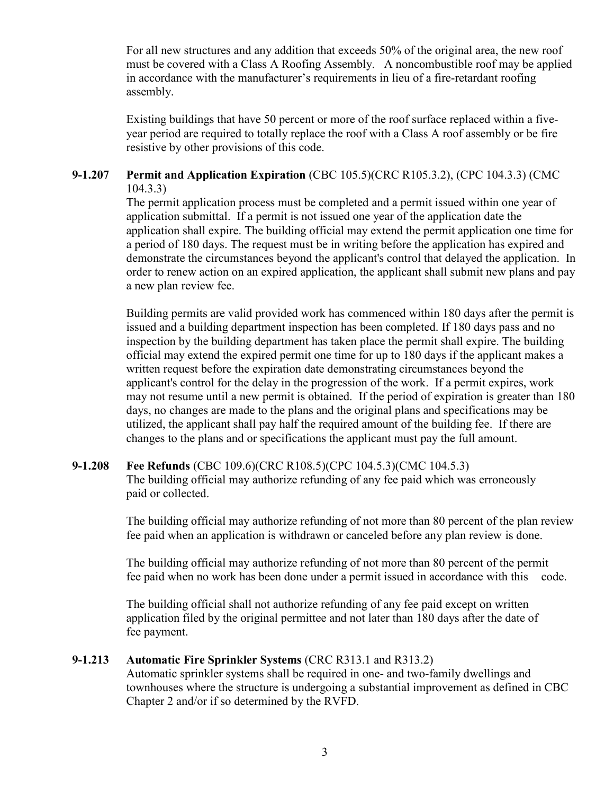For all new structures and any addition that exceeds 50% of the original area, the new roof must be covered with a Class A Roofing Assembly. A noncombustible roof may be applied in accordance with the manufacturer's requirements in lieu of a fire-retardant roofing assembly.

Existing buildings that have 50 percent or more of the roof surface replaced within a fiveyear period are required to totally replace the roof with a Class A roof assembly or be fire resistive by other provisions of this code.

#### **9-1.207 Permit and Application Expiration** (CBC 105.5)(CRC R105.3.2), (CPC 104.3.3) (CMC 104.3.3)

The permit application process must be completed and a permit issued within one year of application submittal. If a permit is not issued one year of the application date the application shall expire. The building official may extend the permit application one time for a period of 180 days. The request must be in writing before the application has expired and demonstrate the circumstances beyond the applicant's control that delayed the application. In order to renew action on an expired application, the applicant shall submit new plans and pay a new plan review fee.

Building permits are valid provided work has commenced within 180 days after the permit is issued and a building department inspection has been completed. If 180 days pass and no inspection by the building department has taken place the permit shall expire. The building official may extend the expired permit one time for up to 180 days if the applicant makes a written request before the expiration date demonstrating circumstances beyond the applicant's control for the delay in the progression of the work. If a permit expires, work may not resume until a new permit is obtained. If the period of expiration is greater than 180 days, no changes are made to the plans and the original plans and specifications may be utilized, the applicant shall pay half the required amount of the building fee. If there are changes to the plans and or specifications the applicant must pay the full amount.

## **9-1.208 Fee Refunds** (CBC 109.6)(CRC R108.5)(CPC 104.5.3)(CMC 104.5.3) The building official may authorize refunding of any fee paid which was erroneously paid or collected.

 The building official may authorize refunding of not more than 80 percent of the plan review fee paid when an application is withdrawn or canceled before any plan review is done.

 The building official may authorize refunding of not more than 80 percent of the permit fee paid when no work has been done under a permit issued in accordance with this code.

 The building official shall not authorize refunding of any fee paid except on written application filed by the original permittee and not later than 180 days after the date of fee payment.

#### **9-1.213 Automatic Fire Sprinkler Systems** (CRC R313.1 and R313.2)

Automatic sprinkler systems shall be required in one- and two-family dwellings and townhouses where the structure is undergoing a substantial improvement as defined in CBC Chapter 2 and/or if so determined by the RVFD.